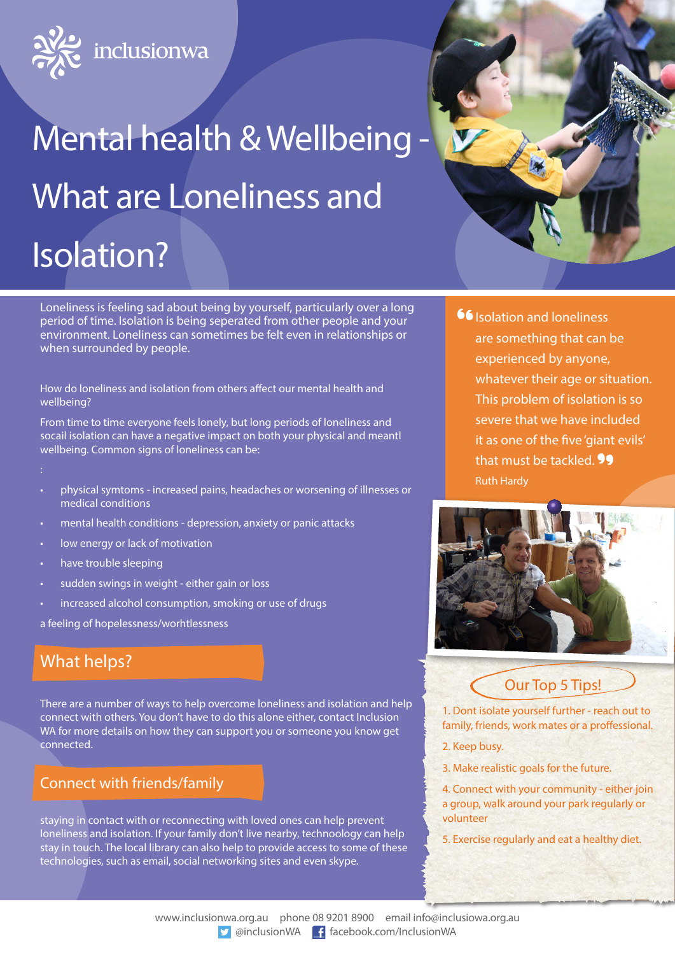

# Mental health & Wellbeing What are Loneliness and Isolation?



Loneliness is feeling sad about being by yourself, particularly over a long period of time. Isolation is being seperated from other people and your environment. Loneliness can sometimes be felt even in relationships or when surrounded by people.

How do loneliness and isolation from others affect our mental health and wellbeing?

From time to time everyone feels lonely, but long periods of loneliness and socail isolation can have a negative impact on both your physical and meantl wellbeing. Common signs of loneliness can be:

- 
- physical symtoms increased pains, headaches or worsening of illnesses or medical conditions
- mental health conditions depression, anxiety or panic attacks
- low energy or lack of motivation
- have trouble sleeping
- sudden swings in weight either gain or loss
- increased alcohol consumption, smoking or use of drugs

a feeling of hopelessness/worhtlessness

# What helps?

There are a number of ways to help overcome loneliness and isolation and help connect with others. You don't have to do this alone either, contact Inclusion WA for more details on how they can support you or someone you know get connected.

#### Connect with friends/family

staying in contact with or reconnecting with loved ones can help prevent loneliness and isolation. If your family don't live nearby, technoology can help stay in touch. The local library can also help to provide access to some of these technologies, such as email, social networking sites and even skype.

**66** Isolation and loneliness are something that can be experienced by anyone, whatever their age or situation. This problem of isolation is so severe that we have included it as one of the five 'giant evils' that must be tackled. **99** Ruth Hardy



Our Top 5 Tips!

1. Dont isolate yourself further - reach out to family, friends, work mates or a proffessional.

- 2. Keep busy.
- 3. Make realistic goals for the future.
- 4. Connect with your community either join a group, walk around your park regularly or volunteer
- 5. Exercise regularly and eat a healthy diet.